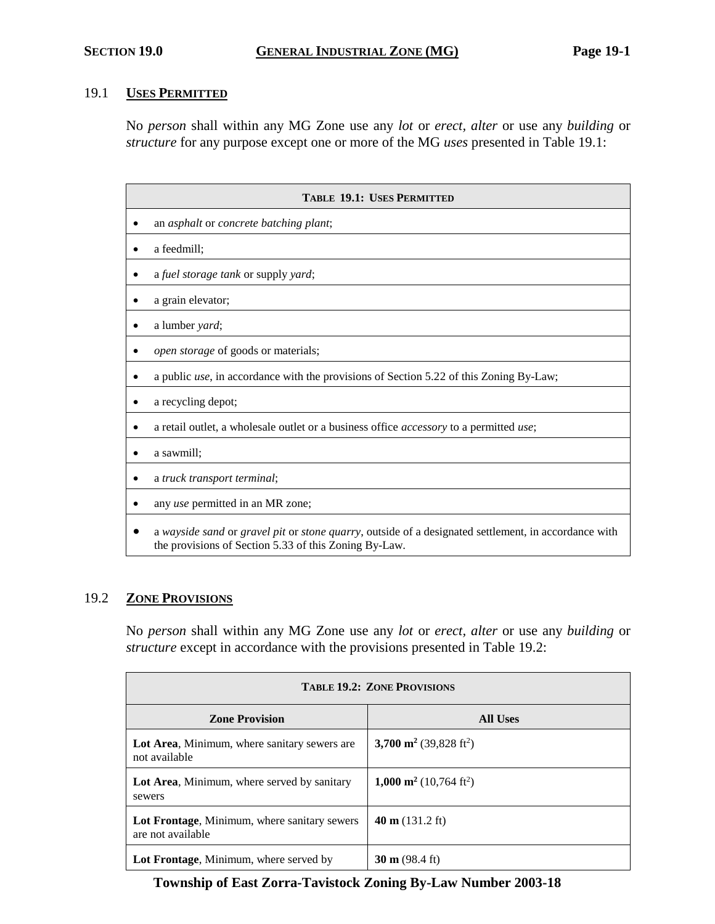### 19.1 **USES PERMITTED**

No *person* shall within any MG Zone use any *lot* or *erect, alter* or use any *building* or *structure* for any purpose except one or more of the MG *uses* presented in Table 19.1:

| <b>TABLE 19.1: USES PERMITTED</b>                                                                                                                             |  |  |
|---------------------------------------------------------------------------------------------------------------------------------------------------------------|--|--|
| an asphalt or concrete batching plant;                                                                                                                        |  |  |
| a feedmill;                                                                                                                                                   |  |  |
| a fuel storage tank or supply yard;                                                                                                                           |  |  |
| a grain elevator;                                                                                                                                             |  |  |
| a lumber yard;                                                                                                                                                |  |  |
| open storage of goods or materials;                                                                                                                           |  |  |
| a public <i>use</i> , in accordance with the provisions of Section 5.22 of this Zoning By-Law;                                                                |  |  |
| a recycling depot;                                                                                                                                            |  |  |
| a retail outlet, a wholesale outlet or a business office <i>accessory</i> to a permitted use;                                                                 |  |  |
| a sawmill;                                                                                                                                                    |  |  |
| a truck transport terminal;                                                                                                                                   |  |  |
| any use permitted in an MR zone;                                                                                                                              |  |  |
| a wayside sand or gravel pit or stone quarry, outside of a designated settlement, in accordance with<br>the provisions of Section 5.33 of this Zoning By-Law. |  |  |

#### 19.2 **ZONE PROVISIONS**

No *person* shall within any MG Zone use any *lot* or *erect, alter* or use any *building* or *structure* except in accordance with the provisions presented in Table 19.2:

| <b>TABLE 19.2: ZONE PROVISIONS</b>                                |                                                |  |  |
|-------------------------------------------------------------------|------------------------------------------------|--|--|
| <b>Zone Provision</b>                                             | All Uses                                       |  |  |
| Lot Area, Minimum, where sanitary sewers are<br>not available     | 3,700 m <sup>2</sup> (39,828 ft <sup>2</sup> ) |  |  |
| Lot Area, Minimum, where served by sanitary<br>sewers             | 1,000 m <sup>2</sup> (10,764 ft <sup>2</sup> ) |  |  |
| Lot Frontage, Minimum, where sanitary sewers<br>are not available | 40 m $(131.2 \text{ ft})$                      |  |  |
| Lot Frontage, Minimum, where served by                            | $30 \text{ m}$ (98.4 ft)                       |  |  |

**Township of East Zorra-Tavistock Zoning By-Law Number 2003-18**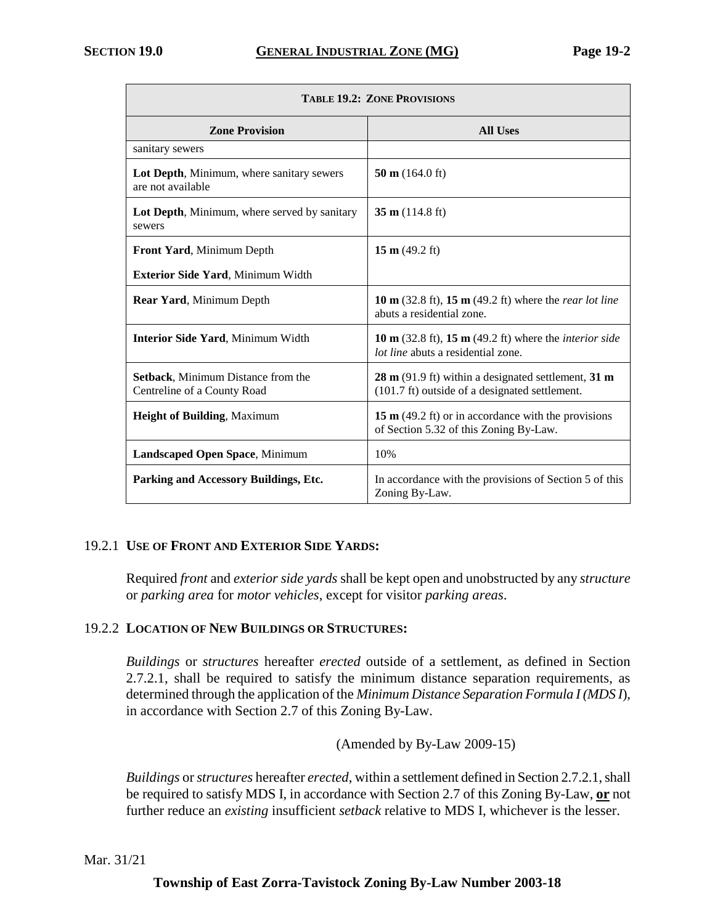П

| <b>TABLE 19.2: ZONE PROVISIONS</b>                                |                                                                                                                                 |  |  |
|-------------------------------------------------------------------|---------------------------------------------------------------------------------------------------------------------------------|--|--|
| <b>Zone Provision</b>                                             | <b>All Uses</b>                                                                                                                 |  |  |
| sanitary sewers                                                   |                                                                                                                                 |  |  |
| Lot Depth, Minimum, where sanitary sewers<br>are not available    | 50 m $(164.0 \text{ ft})$                                                                                                       |  |  |
| Lot Depth, Minimum, where served by sanitary<br>sewers            | 35 m $(114.8 \text{ ft})$                                                                                                       |  |  |
| Front Yard, Minimum Depth                                         | 15 m $(49.2 \text{ ft})$                                                                                                        |  |  |
| Exterior Side Yard, Minimum Width                                 |                                                                                                                                 |  |  |
| Rear Yard, Minimum Depth                                          | 10 m $(32.8 \text{ ft})$ , 15 m $(49.2 \text{ ft})$ where the <i>rear lot line</i><br>abuts a residential zone.                 |  |  |
| <b>Interior Side Yard, Minimum Width</b>                          | 10 m $(32.8 \text{ ft})$ , 15 m $(49.2 \text{ ft})$ where the <i>interior side</i><br><i>lot line</i> abuts a residential zone. |  |  |
| Setback, Minimum Distance from the<br>Centreline of a County Road | $28 \text{ m}$ (91.9 ft) within a designated settlement, 31 m<br>(101.7 ft) outside of a designated settlement.                 |  |  |
| <b>Height of Building, Maximum</b>                                | 15 $m$ (49.2 ft) or in accordance with the provisions<br>of Section 5.32 of this Zoning By-Law.                                 |  |  |
| Landscaped Open Space, Minimum                                    | 10%                                                                                                                             |  |  |
| Parking and Accessory Buildings, Etc.                             | In accordance with the provisions of Section 5 of this<br>Zoning By-Law.                                                        |  |  |

# 19.2.1 **USE OF FRONT AND EXTERIOR SIDE YARDS:**

Required *front* and *exterior side yards* shall be kept open and unobstructed by any *structure* or *parking area* for *motor vehicles*, except for visitor *parking areas*.

#### 19.2.2 **LOCATION OF NEW BUILDINGS OR STRUCTURES:**

*Buildings* or *structures* hereafter *erected* outside of a settlement, as defined in Section 2.7.2.1, shall be required to satisfy the minimum distance separation requirements, as determined through the application of the *Minimum Distance Separation Formula I (MDS I*), in accordance with Section 2.7 of this Zoning By-Law.

(Amended by By-Law 2009-15)

*Buildings* or *structures* hereafter *erected*, within a settlement defined in Section 2.7.2.1, shall be required to satisfy MDS I, in accordance with Section 2.7 of this Zoning By-Law, **or** not further reduce an *existing* insufficient *setback* relative to MDS I, whichever is the lesser.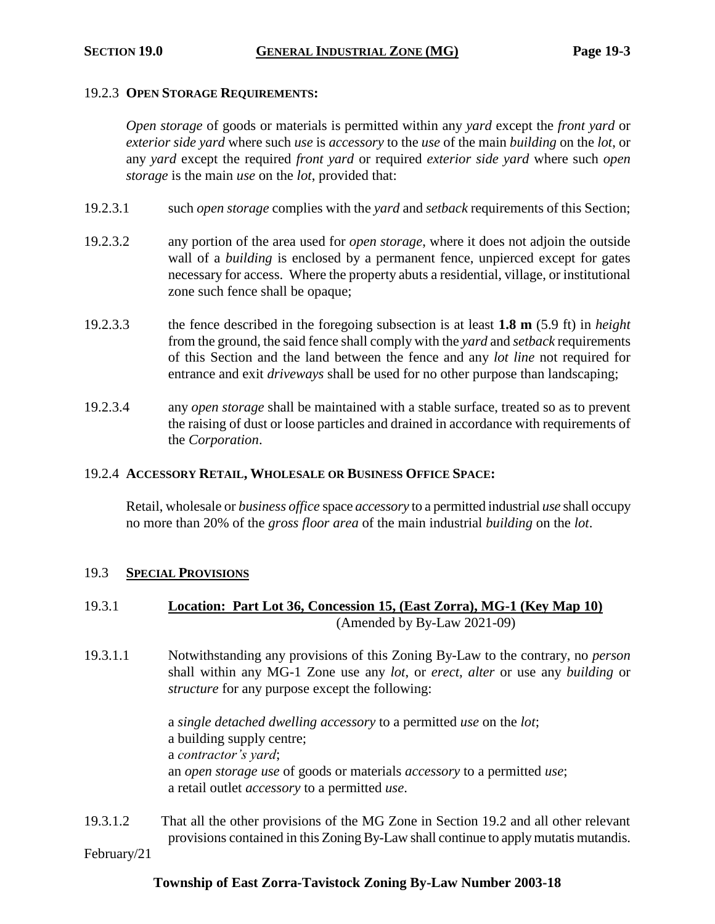#### 19.2.3 **OPEN STORAGE REQUIREMENTS:**

*Open storage* of goods or materials is permitted within any *yard* except the *front yard* or *exterior side yard* where such *use* is *accessory* to the *use* of the main *building* on the *lot*, or any *yard* except the required *front yard* or required *exterior side yard* where such *open storage* is the main *use* on the *lot*, provided that:

- 19.2.3.1 such *open storage* complies with the *yard* and *setback* requirements of this Section;
- 19.2.3.2 any portion of the area used for *open storage*, where it does not adjoin the outside wall of a *building* is enclosed by a permanent fence, unpierced except for gates necessary for access. Where the property abuts a residential, village, or institutional zone such fence shall be opaque;
- 19.2.3.3 the fence described in the foregoing subsection is at least **1.8 m** (5.9 ft) in *height* from the ground, the said fence shall comply with the *yard* and *setback* requirements of this Section and the land between the fence and any *lot line* not required for entrance and exit *driveways* shall be used for no other purpose than landscaping;
- 19.2.3.4 any *open storage* shall be maintained with a stable surface, treated so as to prevent the raising of dust or loose particles and drained in accordance with requirements of the *Corporation*.

#### 19.2.4 **ACCESSORY RETAIL, WHOLESALE OR BUSINESS OFFICE SPACE:**

Retail, wholesale or *business office* space *accessory* to a permitted industrial *use* shall occupy no more than 20% of the *gross floor area* of the main industrial *building* on the *lot*.

#### 19.3 **SPECIAL PROVISIONS**

- 19.3.1 **Location: Part Lot 36, Concession 15, (East Zorra), MG-1 (Key Map 10)** (Amended by By-Law 2021-09)
- 19.3.1.1 Notwithstanding any provisions of this Zoning By-Law to the contrary, no *person* shall within any MG-1 Zone use any *lot*, or *erect, alter* or use any *building* or *structure* for any purpose except the following:

a *single detached dwelling accessory* to a permitted *use* on the *lot*; a building supply centre; a *contractor's yard*; an *open storage use* of goods or materials *accessory* to a permitted *use*; a retail outlet *accessory* to a permitted *use*.

19.3.1.2 That all the other provisions of the MG Zone in Section 19.2 and all other relevant provisions contained in this Zoning By-Law shall continue to apply mutatis mutandis.

February/21

#### **Township of East Zorra-Tavistock Zoning By-Law Number 2003-18**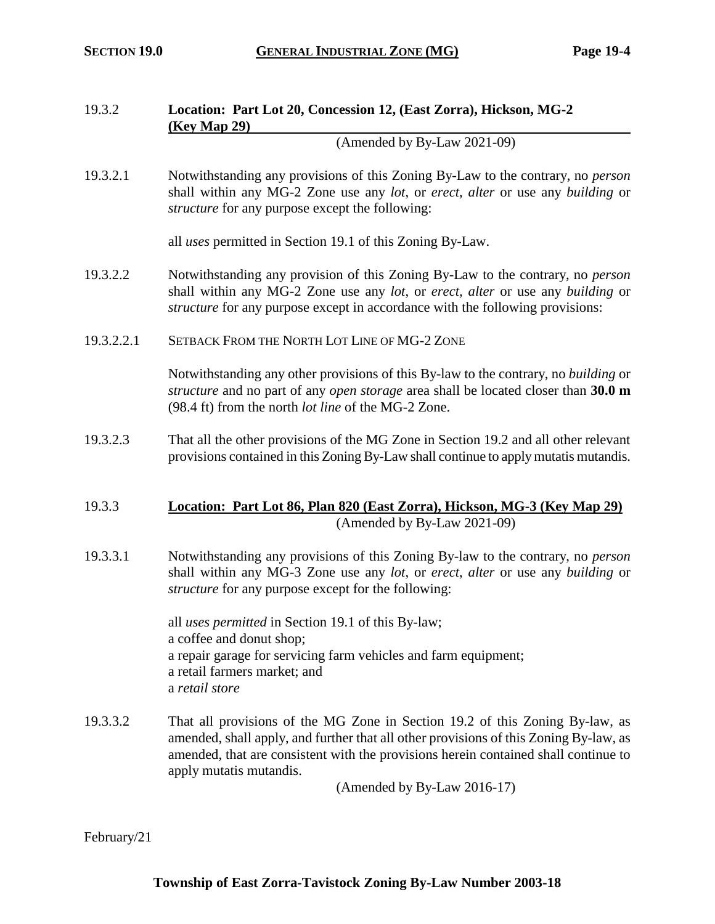# 19.3.2 **Location: Part Lot 20, Concession 12, (East Zorra), Hickson, MG-2 (Key Map 29)**

(Amended by By-Law 2021-09)

19.3.2.1 Notwithstanding any provisions of this Zoning By-Law to the contrary, no *person* shall within any MG-2 Zone use any *lot*, or *erect, alter* or use any *building* or *structure* for any purpose except the following:

all *uses* permitted in Section 19.1 of this Zoning By-Law.

- 19.3.2.2 Notwithstanding any provision of this Zoning By-Law to the contrary, no *person* shall within any MG-2 Zone use any *lot*, or *erect, alter* or use any *building* or *structure* for any purpose except in accordance with the following provisions:
- 19.3.2.2.1 SETBACK FROM THE NORTH LOT LINE OF MG-2 ZONE

Notwithstanding any other provisions of this By-law to the contrary, no *building* or *structure* and no part of any *open storage* area shall be located closer than **30.0 m** (98.4 ft) from the north *lot line* of the MG-2 Zone.

19.3.2.3 That all the other provisions of the MG Zone in Section 19.2 and all other relevant provisions contained in this Zoning By-Law shall continue to apply mutatis mutandis.

## 19.3.3 **Location: Part Lot 86, Plan 820 (East Zorra), Hickson, MG-3 (Key Map 29)** (Amended by By-Law 2021-09)

19.3.3.1 Notwithstanding any provisions of this Zoning By-law to the contrary, no *person* shall within any MG-3 Zone use any *lot*, or *erect*, *alter* or use any *building* or *structure* for any purpose except for the following:

> all *uses permitted* in Section 19.1 of this By-law; a coffee and donut shop; a repair garage for servicing farm vehicles and farm equipment; a retail farmers market; and a *retail store*

19.3.3.2 That all provisions of the MG Zone in Section 19.2 of this Zoning By-law, as amended, shall apply, and further that all other provisions of this Zoning By-law, as amended, that are consistent with the provisions herein contained shall continue to apply mutatis mutandis.

(Amended by By-Law 2016-17)

February/21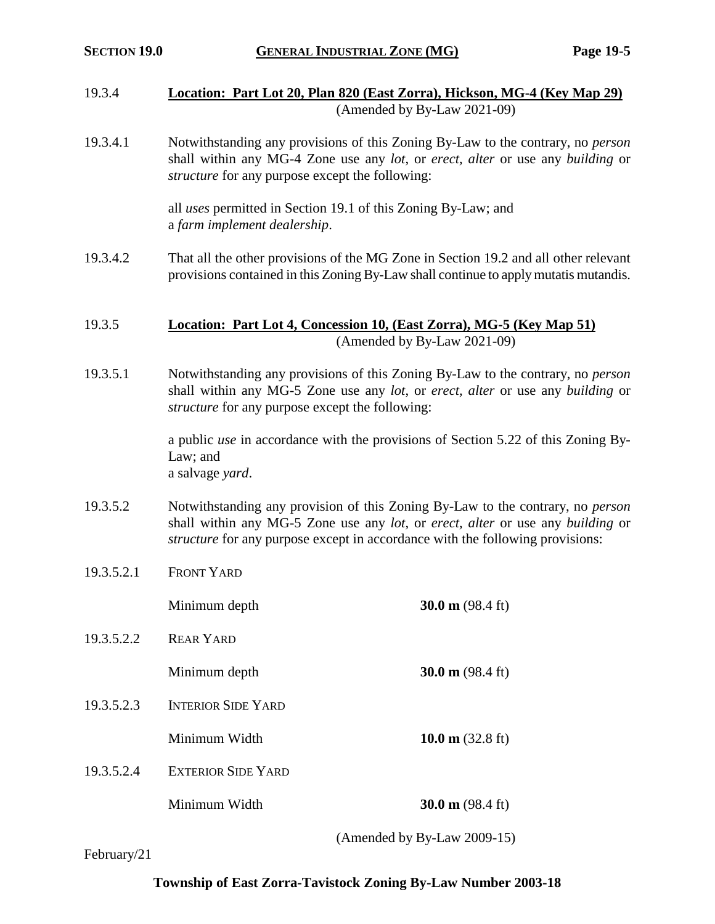- 19.3.4 **Location: Part Lot 20, Plan 820 (East Zorra), Hickson, MG-4 (Key Map 29)** (Amended by By-Law 2021-09)
- 19.3.4.1 Notwithstanding any provisions of this Zoning By-Law to the contrary, no *person* shall within any MG-4 Zone use any *lot*, or *erect, alter* or use any *building* or *structure* for any purpose except the following:

all *uses* permitted in Section 19.1 of this Zoning By-Law; and a *farm implement dealership*.

- 19.3.4.2 That all the other provisions of the MG Zone in Section 19.2 and all other relevant provisions contained in this Zoning By-Law shall continue to apply mutatis mutandis.
- 19.3.5 **Location: Part Lot 4, Concession 10, (East Zorra), MG-5 (Key Map 51)** (Amended by By-Law 2021-09)
- 19.3.5.1 Notwithstanding any provisions of this Zoning By-Law to the contrary, no *person* shall within any MG-5 Zone use any *lot*, or *erect, alter* or use any *building* or *structure* for any purpose except the following:

a public *use* in accordance with the provisions of Section 5.22 of this Zoning By-Law; and a salvage *yard*.

- 19.3.5.2 Notwithstanding any provision of this Zoning By-Law to the contrary, no *person* shall within any MG-5 Zone use any *lot*, or *erect, alter* or use any *building* or *structure* for any purpose except in accordance with the following provisions:
- 19.3.5.2.1 FRONT YARD

Minimum depth **30.0 m** (98.4 ft)

19.3.5.2.2 REAR YARD

Minimum depth **30.0 m** (98.4 ft)

- 19.3.5.2.3 INTERIOR SIDE YARD Minimum Width **10.0 m** (32.8 ft)
- 19.3.5.2.4 EXTERIOR SIDE YARD

Minimum Width **30.0 m** (98.4 ft)

(Amended by By-Law 2009-15)

February/21

# **Township of East Zorra-Tavistock Zoning By-Law Number 2003-18**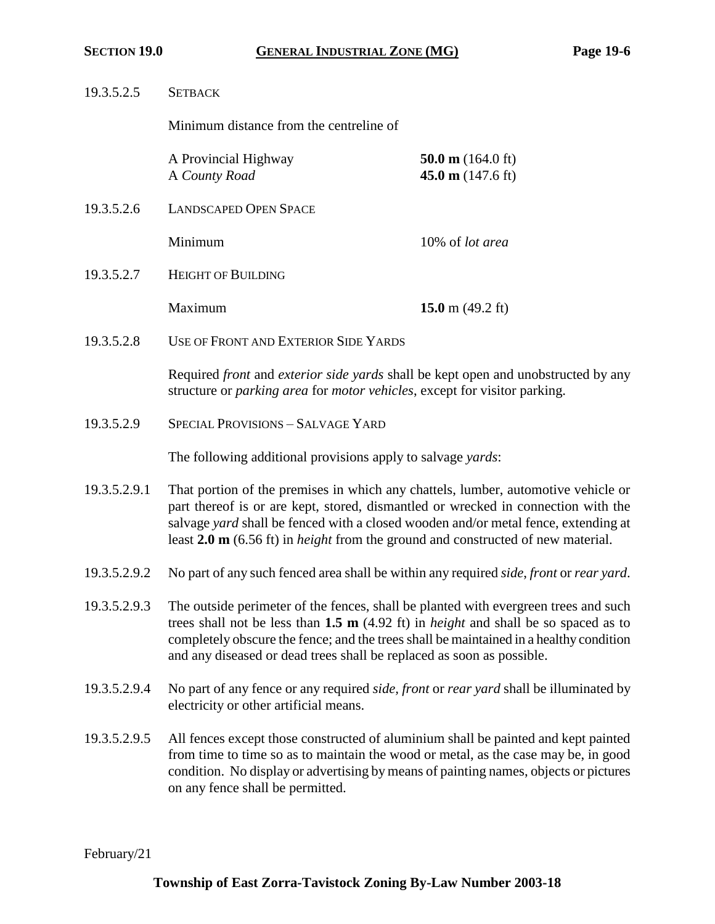| 19.3.5.2.5   | <b>SETBACK</b>                                                                                                                                                                                                                                                                                                                                                 |                                                            |  |
|--------------|----------------------------------------------------------------------------------------------------------------------------------------------------------------------------------------------------------------------------------------------------------------------------------------------------------------------------------------------------------------|------------------------------------------------------------|--|
|              | Minimum distance from the centreline of                                                                                                                                                                                                                                                                                                                        |                                                            |  |
|              | A Provincial Highway<br>A County Road                                                                                                                                                                                                                                                                                                                          | 50.0 m $(164.0 \text{ ft})$<br>45.0 m $(147.6 \text{ ft})$ |  |
| 19.3.5.2.6   | <b>LANDSCAPED OPEN SPACE</b>                                                                                                                                                                                                                                                                                                                                   |                                                            |  |
|              | Minimum                                                                                                                                                                                                                                                                                                                                                        | 10% of lot area                                            |  |
| 19.3.5.2.7   | <b>HEIGHT OF BUILDING</b>                                                                                                                                                                                                                                                                                                                                      |                                                            |  |
|              | Maximum                                                                                                                                                                                                                                                                                                                                                        | 15.0 m $(49.2 \text{ ft})$                                 |  |
| 19.3.5.2.8   | USE OF FRONT AND EXTERIOR SIDE YARDS                                                                                                                                                                                                                                                                                                                           |                                                            |  |
|              | Required front and exterior side yards shall be kept open and unobstructed by any<br>structure or parking area for motor vehicles, except for visitor parking.                                                                                                                                                                                                 |                                                            |  |
| 19.3.5.2.9   | SPECIAL PROVISIONS - SALVAGE YARD                                                                                                                                                                                                                                                                                                                              |                                                            |  |
|              | The following additional provisions apply to salvage yards:                                                                                                                                                                                                                                                                                                    |                                                            |  |
| 19.3.5.2.9.1 | That portion of the premises in which any chattels, lumber, automotive vehicle or<br>part thereof is or are kept, stored, dismantled or wrecked in connection with the<br>salvage yard shall be fenced with a closed wooden and/or metal fence, extending at<br>least 2.0 m (6.56 ft) in <i>height</i> from the ground and constructed of new material.        |                                                            |  |
| 19.3.5.2.9.2 | No part of any such fenced area shall be within any required side, front or rear yard.                                                                                                                                                                                                                                                                         |                                                            |  |
| 19.3.5.2.9.3 | The outside perimeter of the fences, shall be planted with evergreen trees and such<br>trees shall not be less than $1.5 \text{ m}$ (4.92 ft) in <i>height</i> and shall be so spaced as to<br>completely obscure the fence; and the trees shall be maintained in a healthy condition<br>and any diseased or dead trees shall be replaced as soon as possible. |                                                            |  |
| 19.3.5.2.9.4 | No part of any fence or any required side, front or rear yard shall be illuminated by<br>electricity or other artificial means.                                                                                                                                                                                                                                |                                                            |  |
| 19.3.5.2.9.5 | All fences except those constructed of aluminium shall be painted and kept painted<br>from time to time so as to maintain the wood or metal, as the case may be, in good<br>condition. No display or advertising by means of painting names, objects or pictures<br>on any fence shall be permitted.                                                           |                                                            |  |
|              |                                                                                                                                                                                                                                                                                                                                                                |                                                            |  |

February/21